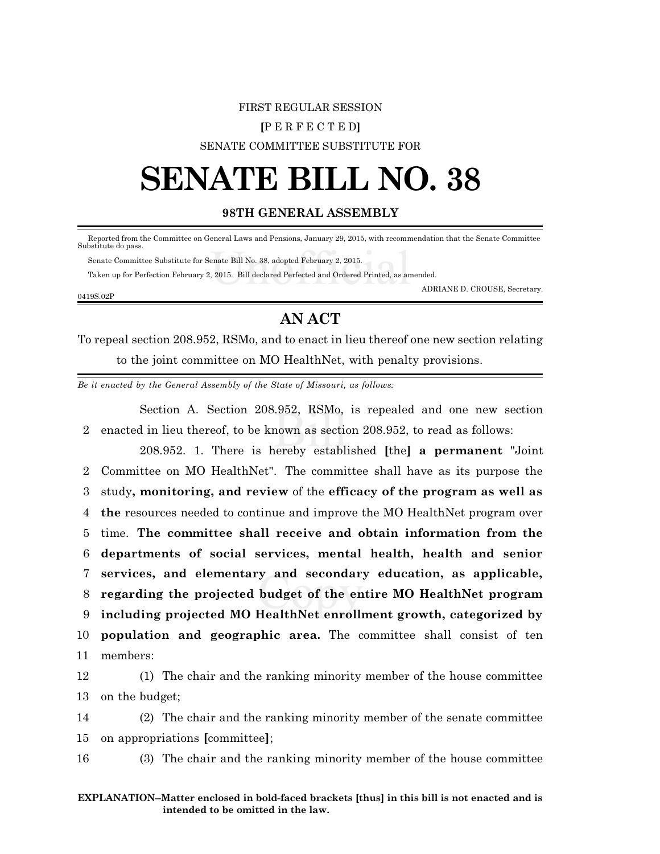## FIRST REGULAR SESSION **[**P E R F E C T E D**]**

#### SENATE COMMITTEE SUBSTITUTE FOR

# **SENATE BILL NO. 38**

#### **98TH GENERAL ASSEMBLY**

 Reported from the Committee on General Laws and Pensions, January 29, 2015, with recommendation that the Senate Committee Substitute do pass.

Senate Committee Substitute for Senate Bill No. 38, adopted February 2, 2015.

Taken up for Perfection February 2, 2015. Bill declared Perfected and Ordered Printed, as amended.

0419S.02P

ADRIANE D. CROUSE, Secretary.

## **AN ACT**

To repeal section 208.952, RSMo, and to enact in lieu thereof one new section relating to the joint committee on MO HealthNet, with penalty provisions.

*Be it enacted by the General Assembly of the State of Missouri, as follows:*

Section A. Section 208.952, RSMo, is repealed and one new section 2 enacted in lieu thereof, to be known as section 208.952, to read as follows:

208.952. 1. There is hereby established **[**the**] a permanent** "Joint Committee on MO HealthNet". The committee shall have as its purpose the study**, monitoring, and review** of the **efficacy of the program as well as the** resources needed to continue and improve the MO HealthNet program over time. **The committee shall receive and obtain information from the departments of social services, mental health, health and senior services, and elementary and secondary education, as applicable, regarding the projected budget of the entire MO HealthNet program including projected MO HealthNet enrollment growth, categorized by population and geographic area.** The committee shall consist of ten 11 members:

12 (1) The chair and the ranking minority member of the house committee 13 on the budget;

14 (2) The chair and the ranking minority member of the senate committee 15 on appropriations **[**committee**]**;

16 (3) The chair and the ranking minority member of the house committee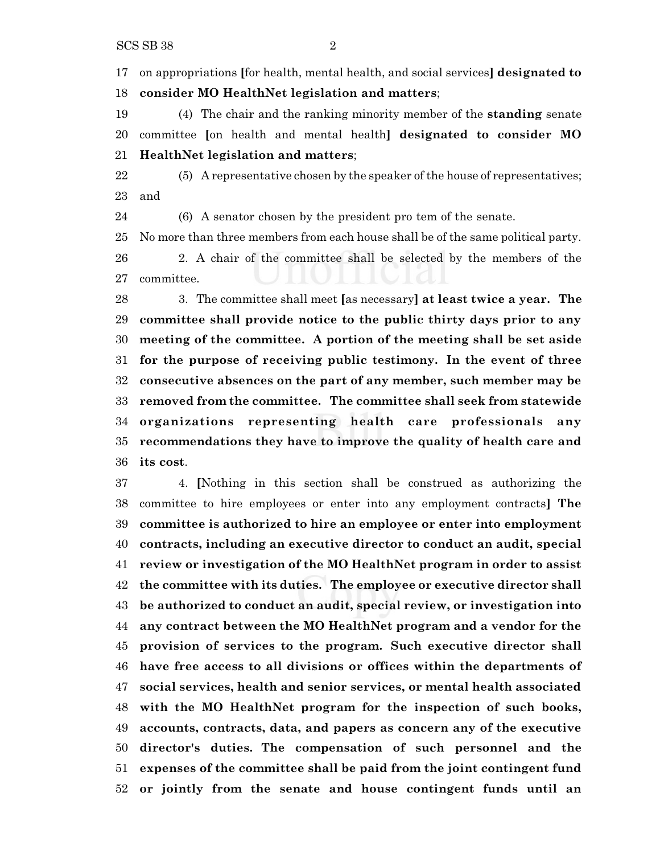on appropriations **[**for health, mental health, and social services**] designated to consider MO HealthNet legislation and matters**;

 (4) The chair and the ranking minority member of the **standing** senate committee **[**on health and mental health**] designated to consider MO HealthNet legislation and matters**;

 (5) A representative chosen by the speaker of the house of representatives; and

(6) A senator chosen by the president pro tem of the senate.

No more than three members from each house shall be of the same political party.

 2. A chair of the committee shall be selected by the members of the committee.

 3. The committee shall meet **[**as necessary**] at least twice a year. The committee shall provide notice to the public thirty days prior to any meeting of the committee. A portion of the meeting shall be set aside for the purpose of receiving public testimony. In the event of three consecutive absences on the part of any member, such member may be removed from the committee. The committee shall seek from statewide organizations representing health care professionals any recommendations they have to improve the quality of health care and its cost**.

 4. **[**Nothing in this section shall be construed as authorizing the committee to hire employees or enter into any employment contracts**] The committee is authorized to hire an employee or enter into employment contracts, including an executive director to conduct an audit, special review or investigation of the MO HealthNet program in order to assist the committee with its duties. The employee or executive director shall be authorized to conduct an audit, special review, or investigation into any contract between the MO HealthNet program and a vendor for the provision of services to the program. Such executive director shall have free access to all divisions or offices within the departments of social services, health and senior services, or mental health associated with the MO HealthNet program for the inspection of such books, accounts, contracts, data, and papers as concern any of the executive director's duties. The compensation of such personnel and the expenses of the committee shall be paid from the joint contingent fund or jointly from the senate and house contingent funds until an**